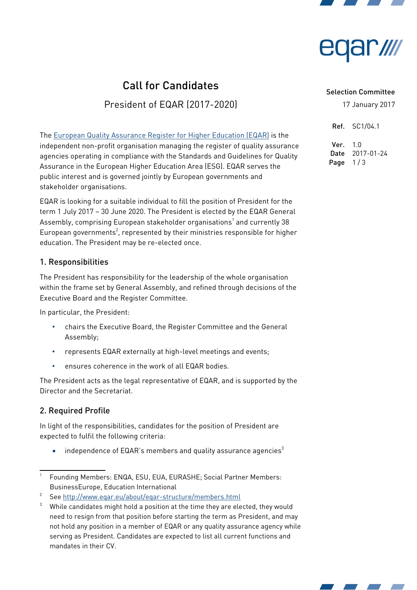



# Call for Candidates

President of EQAR (2017-2020)

The European Quality Assurance Register for Higher Education (EQAR) is the independent non-profit organisation managing the register of quality assurance agencies operating in compliance with the Standards and Guidelines for Quality Assurance in the European Higher Education Area (ESG). EQAR serves the public interest and is governed jointly by European governments and stakeholder organisations.

EQAR is looking for a suitable individual to fill the position of President for the term 1 July 2017 – 30 June 2020. The President is elected by the EQAR General Assembly, comprising European stakeholder organisations<sup>1</sup> and currently 38 European governments<sup>2</sup>, represented by their ministries responsible for higher education. The President may be re-elected once.

### 1. Responsibilities

The President has responsibility for the leadership of the whole organisation within the frame set by General Assembly, and refined through decisions of the Executive Board and the Register Committee.

In particular, the President:

- chairs the Executive Board, the Register Committee and the General Assembly;
- represents EQAR externally at high-level meetings and events;
- ensures coherence in the work of all EQAR bodies.

The President acts as the legal representative of EQAR, and is supported by the Director and the Secretariat.

# 2. Required Profile

In light of the responsibilities, candidates for the position of President are expected to fulfil the following criteria:

 $\bullet$  independence of EQAR's members and quality assurance agencies<sup>3</sup>

#### Selection Committee

17 January 2017

Ref. SC1/04.1

 $Ver. 10$ Date 2017-01-24 Page  $1/3$ 



<sup>1</sup> Founding Members: ENQA, ESU, EUA, EURASHE; Social Partner Members: BusinessEurope, Education International

See http://www.eqar.eu/about/eqar-structure/members.html

 $3$  While candidates might hold a position at the time they are elected, they would need to resign from that position before starting the term as President, and may not hold any position in a member of EQAR or any quality assurance agency while serving as President. Candidates are expected to list all current functions and mandates in their CV.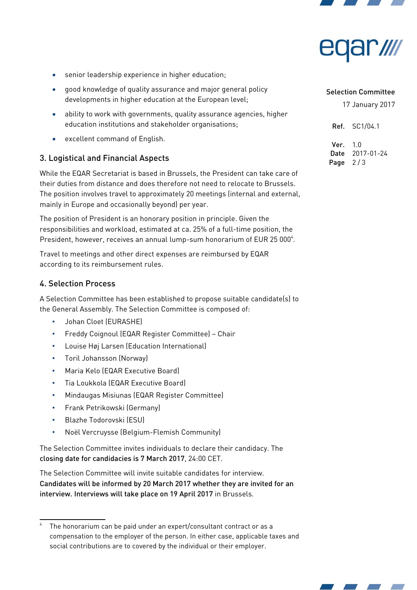



- senior leadership experience in higher education;
- good knowledge of quality assurance and major general policy developments in higher education at the European level;
- ability to work with governments, quality assurance agencies, higher education institutions and stakeholder organisations;
- excellent command of English.

# 3. Logistical and Financial Aspects

While the EQAR Secretariat is based in Brussels, the President can take care of their duties from distance and does therefore not need to relocate to Brussels. The position involves travel to approximately 20 meetings (internal and external, mainly in Europe and occasionally beyond) per year.

The position of President is an honorary position in principle. Given the responsibilities and workload, estimated at ca. 25% of a full-time position, the President, however, receives an annual lump-sum honorarium of EUR 25 000<sup>4</sup>.

Travel to meetings and other direct expenses are reimbursed by EQAR according to its reimbursement rules.

#### 4. Selection Process

A Selection Committee has been established to propose suitable candidate(s) to the General Assembly. The Selection Committee is composed of:

- Johan Cloet (EURASHE)
- Freddy Coignoul (EQAR Register Committee) Chair
- Louise Høj Larsen (Education International)
- Toril Johansson (Norway)
- Maria Kelo (EQAR Executive Board)
- Tia Loukkola (EQAR Executive Board)
- Mindaugas Misiunas (EQAR Register Committee)
- Frank Petrikowski (Germany)
- Blazhe Todorovski (ESU)
- Noël Vercruysse (Belgium-Flemish Community)

The Selection Committee invites individuals to declare their candidacy. The closing date for candidacies is 7 March 2017, 24:00 CET.

The Selection Committee will invite suitable candidates for interview. Candidates will be informed by 20 March 2017 whether they are invited for an interview. Interviews will take place on 19 April 2017 in Brussels.

#### Selection Committee

17 January 2017

Ref. SC1/04.1

 $Var 10$ Date 2017-01-24 Page  $2/3$ 



The honorarium can be paid under an expert/consultant contract or as a compensation to the employer of the person. In either case, applicable taxes and social contributions are to covered by the individual or their employer.